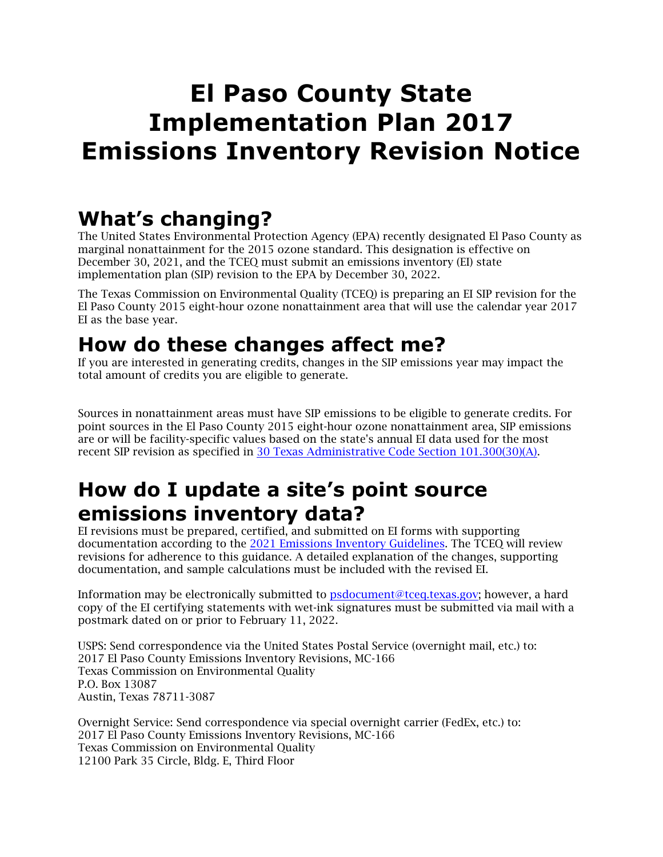# **El Paso County State Implementation Plan 2017 Emissions Inventory Revision Notice**

## **What's changing?**

The United States Environmental Protection Agency (EPA) [recently designated](https://www.federalregister.gov/documents/2021/11/30/2021-25451/additional-revised-air-quality-designations-for-the-2015-ozone-national-ambient-air-quality) El Paso County as marginal nonattainment for the 2015 ozone standard. This designation is effective on December 30, 2021, and the TCEQ must submit an emissions inventory (EI) state implementation plan (SIP) revision to the EPA by December 30, 2022.

The Texas Commission on Environmental Quality (TCEQ) is preparing an EI SIP revision for the El Paso County 2015 eight-hour ozone nonattainment area that will use the calendar year 2017 EI as the base year.

### **How do these changes affect me?**

If you are interested in generating credits, changes in the SIP emissions year may impact the total amount of credits you are eligible to generate.

Sources in nonattainment areas must have SIP emissions to be eligible to generate credits. For point sources in the El Paso County 2015 eight-hour ozone nonattainment area, SIP emissions are or will be facility-specific values based on the state's annual EI data used for the most recent SIP revision as specified in [30 Texas Administrative Code Section 101.300\(30\)\(A\).](https://texreg.sos.state.tx.us/public/readtac$ext.TacPage?sl=R&app=9&p_dir=&p_rloc=&p_tloc=&p_ploc=&pg=1&p_tac=&ti=30&pt=1&ch=101&rl=300)

### **How do I update a site's point source emissions inventory data?**

EI revisions must be prepared, certified, and submitted on EI forms with supporting documentation according to the 2021 [Emissions Inventory Guidelines.](https://www.tceq.texas.gov/airquality/point-source-ei/rg-360-21) The TCEQ will review revisions for adherence to this guidance. A detailed explanation of the changes, supporting documentation, and sample calculations must be included with the revised EI.

Information may be electronically submitted to **psdocument@tceq.texas.gov**; however, a hard copy of the EI certifying statements with wet-ink signatures must be submitted via mail with a postmark dated on or prior to February 11, 2022.

USPS: Send correspondence via the United States Postal Service (overnight mail, etc.) to: 2017 El Paso County Emissions Inventory Revisions, MC-166 Texas Commission on Environmental Quality P.O. Box 13087 Austin, Texas 78711-3087

Overnight Service: Send correspondence via special overnight carrier (FedEx, etc.) to: 2017 El Paso County Emissions Inventory Revisions, MC-166 Texas Commission on Environmental Quality 12100 Park 35 Circle, Bldg. E, Third Floor